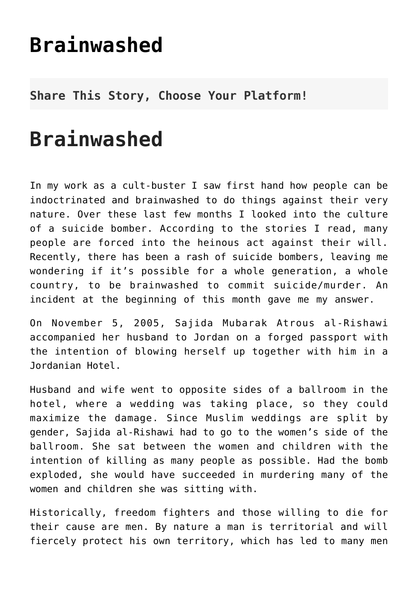## **[Brainwashed](http://noahide.org/brainwashed/)**

## **Share This Story, Choose Your Platform!**

## **Brainwashed**

In my work as a cult-buster I saw first hand how people can be indoctrinated and brainwashed to do things against their very nature. Over these last few months I looked into the culture of a suicide bomber. According to the stories I read, many people are forced into the heinous act against their will. Recently, there has been a rash of suicide bombers, leaving me wondering if it's possible for a whole generation, a whole country, to be brainwashed to commit suicide/murder. An incident at the beginning of this month gave me my answer.

On November 5, 2005, Sajida Mubarak Atrous al-Rishawi accompanied her husband to Jordan on a forged passport with the intention of blowing herself up together with him in a Jordanian Hotel.

Husband and wife went to opposite sides of a ballroom in the hotel, where a wedding was taking place, so they could maximize the damage. Since Muslim weddings are split by gender, Sajida al-Rishawi had to go to the women's side of the ballroom. She sat between the women and children with the intention of killing as many people as possible. Had the bomb exploded, she would have succeeded in murdering many of the women and children she was sitting with.

Historically, freedom fighters and those willing to die for their cause are men. By nature a man is territorial and will fiercely protect his own territory, which has led to many men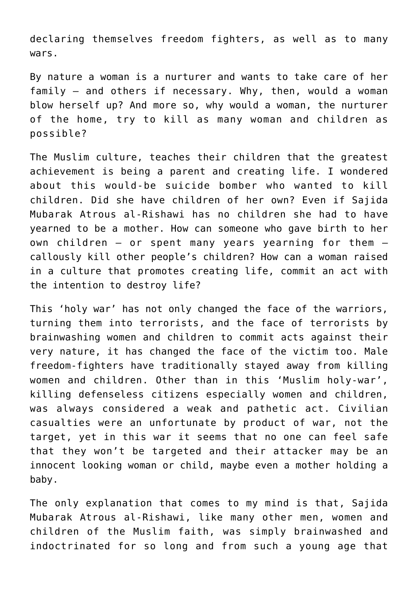declaring themselves freedom fighters, as well as to many wars.

By nature a woman is a nurturer and wants to take care of her family – and others if necessary. Why, then, would a woman blow herself up? And more so, why would a woman, the nurturer of the home, try to kill as many woman and children as possible?

The Muslim culture, teaches their children that the greatest achievement is being a parent and creating life. I wondered about this would-be suicide bomber who wanted to kill children. Did she have children of her own? Even if Sajida Mubarak Atrous al-Rishawi has no children she had to have yearned to be a mother. How can someone who gave birth to her own children – or spent many years yearning for them – callously kill other people's children? How can a woman raised in a culture that promotes creating life, commit an act with the intention to destroy life?

This 'holy war' has not only changed the face of the warriors, turning them into terrorists, and the face of terrorists by brainwashing women and children to commit acts against their very nature, it has changed the face of the victim too. Male freedom-fighters have traditionally stayed away from killing women and children. Other than in this 'Muslim holy-war', killing defenseless citizens especially women and children, was always considered a weak and pathetic act. Civilian casualties were an unfortunate by product of war, not the target, yet in this war it seems that no one can feel safe that they won't be targeted and their attacker may be an innocent looking woman or child, maybe even a mother holding a baby.

The only explanation that comes to my mind is that, Sajida Mubarak Atrous al-Rishawi, like many other men, women and children of the Muslim faith, was simply brainwashed and indoctrinated for so long and from such a young age that